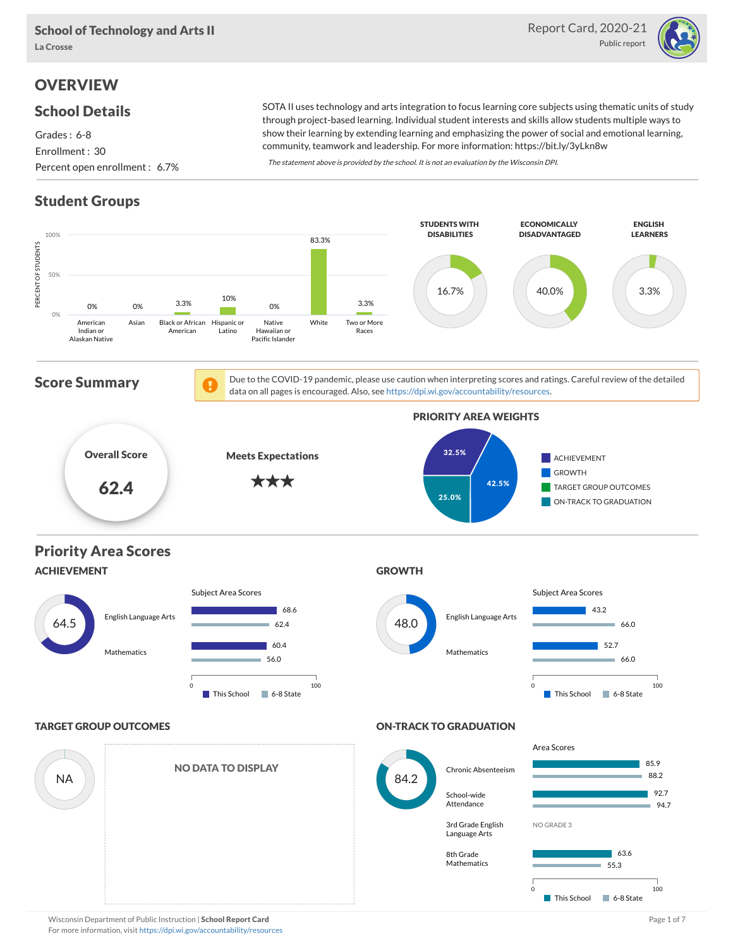

# **OVERVIEW**

### School Details

Grades : 6-8 Enrollment : 30 Percent open enrollment : 6.7%

SOTA II uses technology and arts integration to focus learning core subjects using thematic units of study through project-based learning. Individual student interests and skills allow students multiple ways to show their learning by extending learning and emphasizing the power of social and emotional learning, community, teamwork and leadership. For more information: https://bit.ly/3yLkn8w

The statement above is provided by the school. It is not an evaluation by the Wisconsin DPI.

# Student Groups

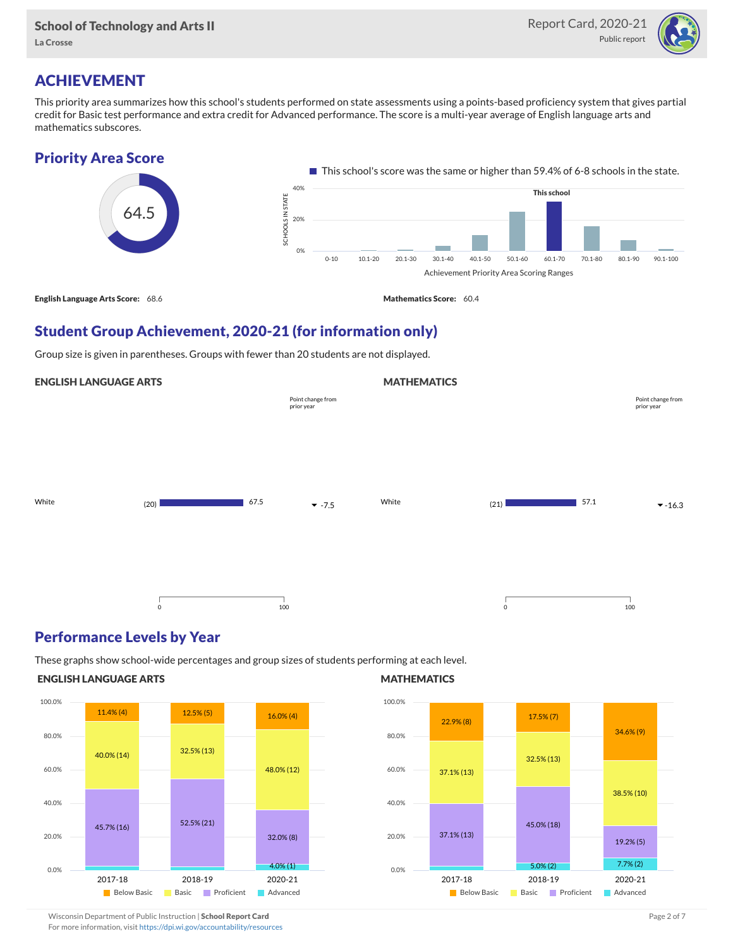

# ACHIEVEMENT

This priority area summarizes how this school's students performed on state assessments using a points-based proficiency system that gives partial credit for Basic test performance and extra credit for Advanced performance. The score is a multi-year average of English language arts and mathematics subscores.



Student Group Achievement, 2020-21 (for information only)

Group size is given in parentheses. Groups with fewer than 20 students are not displayed.

#### ENGLISH LANGUAGE ARTS

|       |         |      |                                 | . <del>.</del> |             |      |                                 |
|-------|---------|------|---------------------------------|----------------|-------------|------|---------------------------------|
|       |         |      | Point change from<br>prior year |                |             |      | Point change from<br>prior year |
|       |         |      |                                 |                |             |      |                                 |
|       |         |      |                                 |                |             |      |                                 |
| White | (20)    | 67.5 | $-7.5$                          | White          | (21)        | 57.1 | $-16.3$                         |
|       |         |      |                                 |                |             |      |                                 |
|       |         |      |                                 |                |             |      |                                 |
|       | $\circ$ | 100  |                                 |                | $\mathbf 0$ |      | 100                             |

### Performance Levels by Year

These graphs show school-wide percentages and group sizes of students performing at each level.

#### ENGLISH LANGUAGE ARTS



#### **MATHEMATICS**

**MATHEMATICS** 



Wisconsin Department of Public Instruction | School Report Card Page 2 of 7 and 2008 and 2009 and 2 of 7 and 2 of 7

For more information, visit <https://dpi.wi.gov/accountability/resources>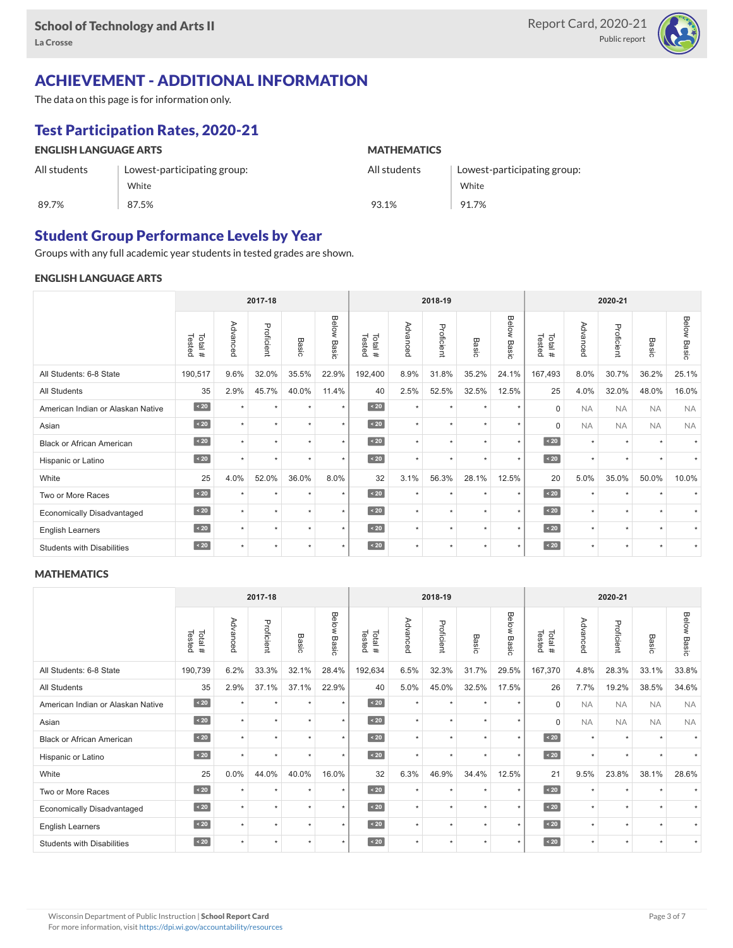

# ACHIEVEMENT - ADDITIONAL INFORMATION

The data on this page is for information only.

# Test Participation Rates, 2020-21

| <b>ENGLISH LANGUAGE ARTS</b> |                             | <b>MATHEMATICS</b> |                             |  |  |  |  |
|------------------------------|-----------------------------|--------------------|-----------------------------|--|--|--|--|
| All students                 | Lowest-participating group: | All students       | Lowest-participating group: |  |  |  |  |
|                              | White                       |                    | White                       |  |  |  |  |
| 89.7%                        | 87.5%                       | 93.1%              | 91.7%                       |  |  |  |  |

# Student Group Performance Levels by Year

Groups with any full academic year students in tested grades are shown.

#### ENGLISH LANGUAGE ARTS

|                                   | 2017-18           |           |            |         | 2018-19            |                  |          |            | 2020-21   |                       |                  |           |            |                      |                    |
|-----------------------------------|-------------------|-----------|------------|---------|--------------------|------------------|----------|------------|-----------|-----------------------|------------------|-----------|------------|----------------------|--------------------|
|                                   | Tested<br>Total # | Advanced  | Proficient | Basic   | <b>Below Basic</b> | Tested<br>Total# | Advanced | Proficient | Basic     | <b>Below</b><br>Basic | Tested<br>Total# | Advanced  | Proficient | Basic                | <b>Below Basic</b> |
| All Students: 6-8 State           | 190,517           | 9.6%      | 32.0%      | 35.5%   | 22.9%              | 192,400          | 8.9%     | 31.8%      | 35.2%     | 24.1%                 | 167,493          | 8.0%      | 30.7%      | 36.2%                | 25.1%              |
| <b>All Students</b>               | 35                | 2.9%      | 45.7%      | 40.0%   | 11.4%              | 40               | 2.5%     | 52.5%      | 32.5%     | 12.5%                 | 25               | 4.0%      | 32.0%      | 48.0%                | 16.0%              |
| American Indian or Alaskan Native | $\angle 20$       | $\ddot{}$ | $\star$    | ٠       | $\star$            | $\overline{20}$  | $\star$  | $\star$    | $\ddot{}$ | $\star$               | $\Omega$         | <b>NA</b> | <b>NA</b>  | <b>NA</b>            | <b>NA</b>          |
| Asian                             | $\sim 20$         | $\star$   | $\star$    | $\star$ | $\star$            | $\sim 20$        | $\star$  | $\star$    | $\star$   | $\star$               | $\Omega$         | <b>NA</b> | <b>NA</b>  | <b>NA</b>            | <b>NA</b>          |
| <b>Black or African American</b>  | $\angle 20$       | $\ddot{}$ | ٠          | ٠       | $\star$            | $\overline{20}$  | $\star$  | $\star$    | $\ddot{}$ | $\star$               | $\sim 20$        | $\star$   | $\star$    | $\ddot{}$            |                    |
| Hispanic or Latino                | $\angle 20$       | $\star$   | $\star$    | $\star$ | $\star$            | $\angle 20$      | $\star$  | $\star$    | $\star$   | $\star$               | $\angle 20$      | $\star$   | $\star$    | $\ddot{\phantom{1}}$ |                    |
| White                             | 25                | 4.0%      | 52.0%      | 36.0%   | 8.0%               | 32               | 3.1%     | 56.3%      | 28.1%     | 12.5%                 | 20               | 5.0%      | 35.0%      | 50.0%                | 10.0%              |
| Two or More Races                 | $\angle 20$       |           | $\star$    | $\star$ | $\star$            | $\angle 20$      | $\star$  | $\star$    | $\star$   | $\star$               | $\sim 20$        | $\star$   | $\star$    |                      |                    |
| <b>Economically Disadvantaged</b> | $\sim 20$         | $\ddot{}$ | $\star$    | $\star$ | $\star$            | $\overline{20}$  | $\star$  | $\star$    | $\ddot{}$ | $\star$               | $\angle 20$      | $\star$   | $\star$    | $\ddot{}$            |                    |
| <b>English Learners</b>           | $\sim 20$         | $\ddot{}$ | $\star$    | $\star$ | $\star$            | $\angle 20$      | $\star$  | $\star$    | $\star$   | $\star$               | $\sim 20$        | $\star$   | $\star$    | $\star$              |                    |
| <b>Students with Disabilities</b> | $\sim 20$         | $\star$   | $\star$    | $\star$ | $\star$            | $\angle 20$      | $\star$  | $\star$    |           | $\star$               | $\sim 20$        | $\star$   | $\star$    | $\star$              | $\star$            |

#### **MATHEMATICS**

|                                   | 2017-18           |           |            |         | 2018-19        |                  |          |            | 2020-21              |                      |                  |           |            |                      |                    |
|-----------------------------------|-------------------|-----------|------------|---------|----------------|------------------|----------|------------|----------------------|----------------------|------------------|-----------|------------|----------------------|--------------------|
|                                   | Tested<br>Total # | Advanced  | Proficient | Basic   | Below<br>Basic | Tested<br>Total# | Advanced | Proficient | Basic                | Below<br>Basic       | Tested<br>Total# | Advanced  | Proficient | Basic                | <b>Below Basic</b> |
| All Students: 6-8 State           | 190,739           | 6.2%      | 33.3%      | 32.1%   | 28.4%          | 192,634          | 6.5%     | 32.3%      | 31.7%                | 29.5%                | 167,370          | 4.8%      | 28.3%      | 33.1%                | 33.8%              |
| <b>All Students</b>               | 35                | 2.9%      | 37.1%      | 37.1%   | 22.9%          | 40               | 5.0%     | 45.0%      | 32.5%                | 17.5%                | 26               | 7.7%      | 19.2%      | 38.5%                | 34.6%              |
| American Indian or Alaskan Native | $\sim 20$         | $\ddot{}$ | $\star$    | ٠       | $\star$        | $\overline{20}$  | $\star$  | $\star$    | $\star$              | $\star$              | $\Omega$         | <b>NA</b> | <b>NA</b>  | <b>NA</b>            | <b>NA</b>          |
| Asian                             | $\sim 20$         | $\ddot{}$ | $\star$    | ٠       | $\star$        | $\sim 20$        | $\star$  | $\star$    | $\star$              | $\star$              | $\mathbf 0$      | <b>NA</b> | <b>NA</b>  | <b>NA</b>            | <b>NA</b>          |
| <b>Black or African American</b>  | $\sim 20$         | $\ddot{}$ | ٠          | ٠       | $\star$        | $\angle 20$      | $\star$  | $\star$    |                      | $\star$              | $\sim 20$        | $\star$   | $\star$    |                      |                    |
| Hispanic or Latino                | $\angle 20$       | $\ddot{}$ | $\star$    | $\star$ | $\star$        | $\angle 20$      | $\star$  | $\star$    | $\ddot{\phantom{1}}$ | $\ddot{\phantom{1}}$ | $\angle 20$      | $\star$   | $\star$    | $\ddot{\phantom{1}}$ |                    |
| White                             | 25                | 0.0%      | 44.0%      | 40.0%   | 16.0%          | 32               | 6.3%     | 46.9%      | 34.4%                | 12.5%                | 21               | 9.5%      | 23.8%      | 38.1%                | 28.6%              |
| Two or More Races                 | $\sim 20$         | $\ddot{}$ | $\star$    | $\star$ | $\star$        | $\angle 20$      | $\star$  | $\star$    | $\ddot{\phantom{1}}$ | $\star$              | $\sim 20$        | $\star$   | $\star$    |                      |                    |
| <b>Economically Disadvantaged</b> | $\leq 20$         | $\star$   | $\star$    | $\star$ | $\star$        | $\angle 20$      | $\star$  | $\star$    | $\ddot{}$            | $\star$              | $\angle 20$      | $\star$   | $\star$    | $\star$              |                    |
| English Learners                  | $\sim 20$         | $\ddot{}$ | $\star$    | $\star$ | $\star$        | $\angle 20$      | $\star$  | $\star$    | $\ddot{\phantom{1}}$ | $\star$              | $\sim 20$        | $\star$   | $\star$    | $\star$              |                    |
| <b>Students with Disabilities</b> | $\angle 20$       | $\star$   | $\star$    | $\star$ | $\star$        | $\angle 20$      | $\star$  | $\star$    | $\ddot{\phantom{1}}$ | $\star$              | $\angle 20$      | $\star$   | $\star$    | $\star$              |                    |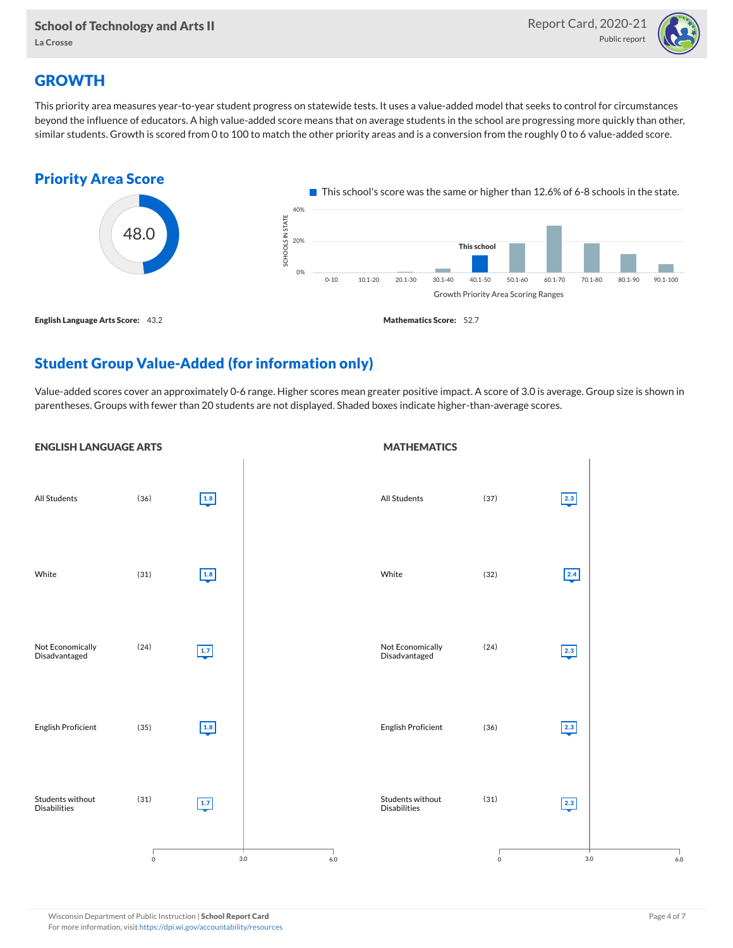

# **GROWTH**

This priority area measures year-to-year student progress on statewide tests. It uses a value-added model that seeks to control for circumstances beyond the influence of educators. A high value-added score means that on average students in the school are progressing more quickly than other, similar students. Growth is scored from 0 to 100 to match the other priority areas and is a conversion from the roughly 0 to 6 value-added score.



# Student Group Value-Added (for information only)

Value-added scores cover an approximately 0-6 range. Higher scores mean greater positive impact. A score of 3.0 is average. Group size is shown in parentheses. Groups with fewer than 20 students are not displayed. Shaded boxes indicate higher-than-average scores.

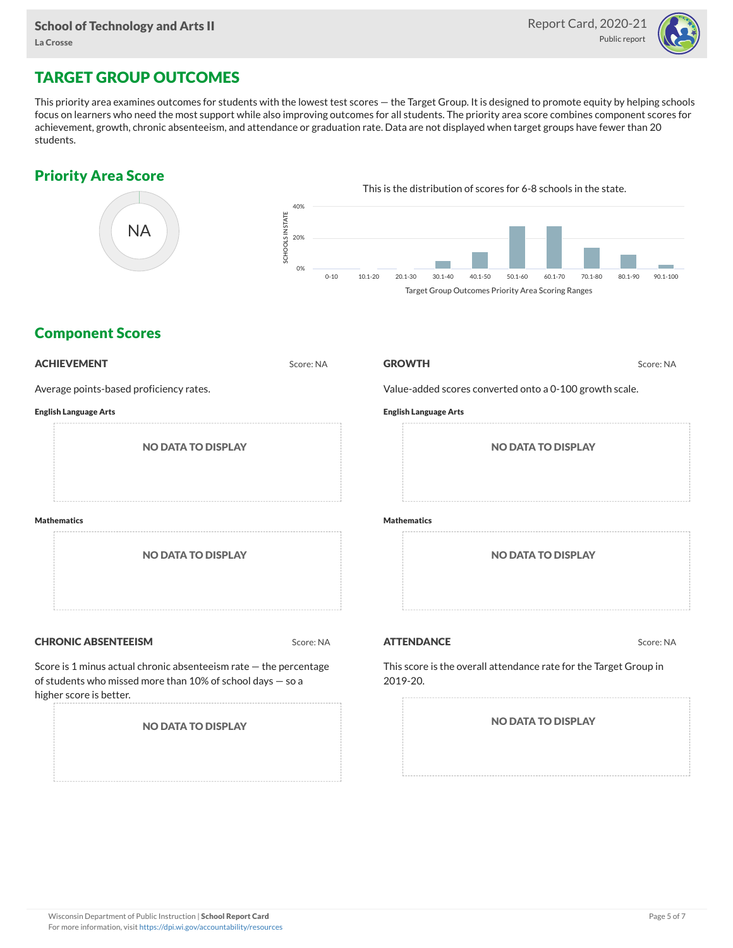

# TARGET GROUP OUTCOMES

This priority area examines outcomes for students with the lowest test scores — the Target Group. It is designed to promote equity by helping schools focus on learners who need the most support while also improving outcomes for all students. The priority area score combines component scores for achievement, growth, chronic absenteeism, and attendance or graduation rate. Data are not displayed when target groups have fewer than 20 students.

## Priority Area Score



### Component Scores

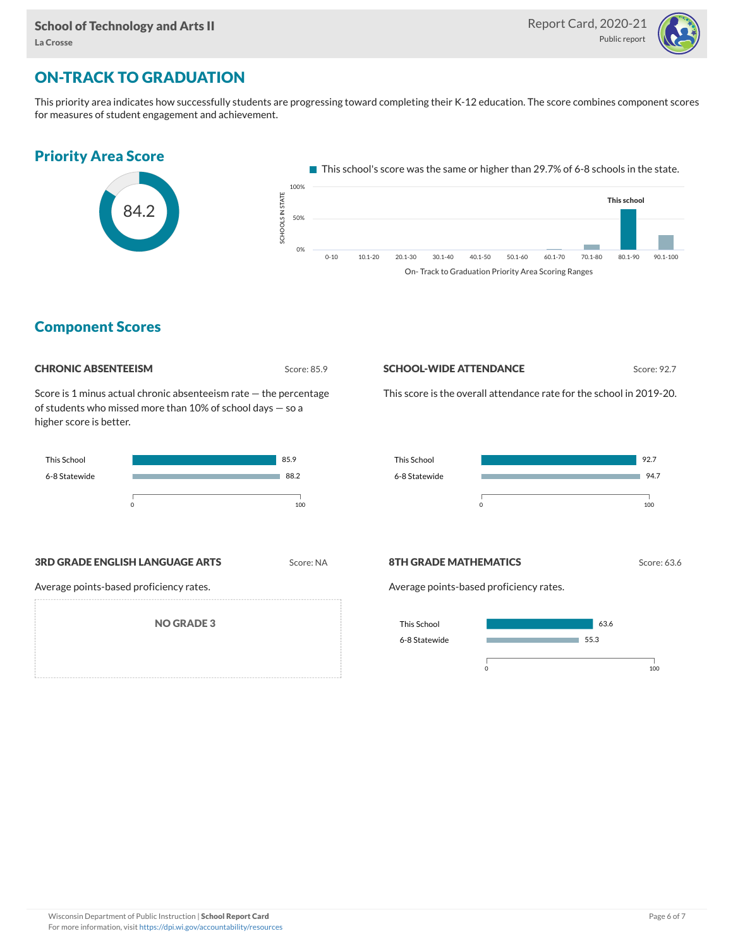

# ON-TRACK TO GRADUATION

This priority area indicates how successfully students are progressing toward completing their K-12 education. The score combines component scores for measures of student engagement and achievement.



### Component Scores